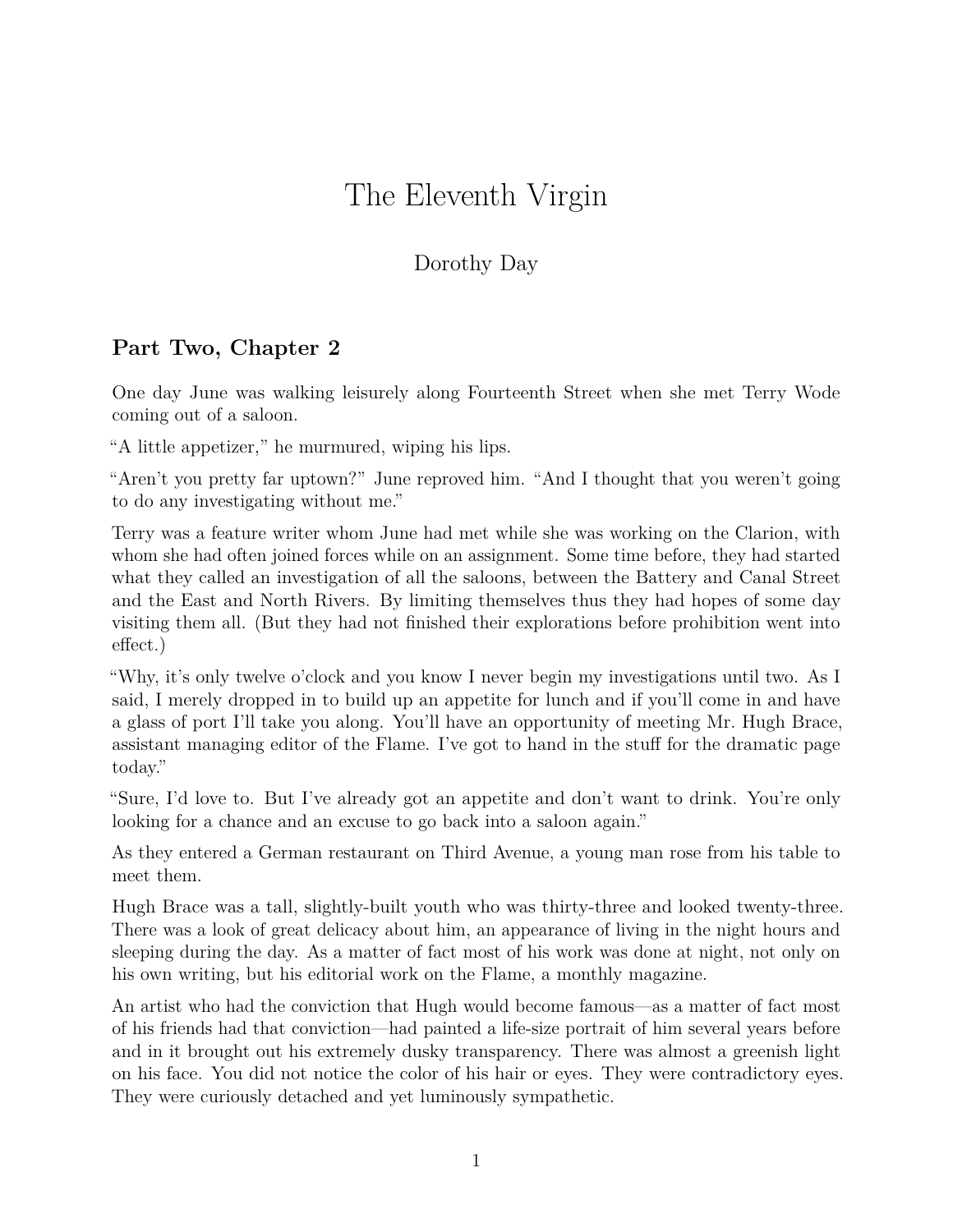## The Eleventh Virgin

## Dorothy Day

## **Part Two, Chapter 2**

One day June was walking leisurely along Fourteenth Street when she met Terry Wode coming out of a saloon.

"A little appetizer," he murmured, wiping his lips.

"Aren't you pretty far uptown?" June reproved him. "And I thought that you weren't going to do any investigating without me."

Terry was a feature writer whom June had met while she was working on the Clarion, with whom she had often joined forces while on an assignment. Some time before, they had started what they called an investigation of all the saloons, between the Battery and Canal Street and the East and North Rivers. By limiting themselves thus they had hopes of some day visiting them all. (But they had not finished their explorations before prohibition went into effect.)

"Why, it's only twelve o'clock and you know I never begin my investigations until two. As I said, I merely dropped in to build up an appetite for lunch and if you'll come in and have a glass of port I'll take you along. You'll have an opportunity of meeting Mr. Hugh Brace, assistant managing editor of the Flame. I've got to hand in the stuff for the dramatic page today."

"Sure, I'd love to. But I've already got an appetite and don't want to drink. You're only looking for a chance and an excuse to go back into a saloon again."

As they entered a German restaurant on Third Avenue, a young man rose from his table to meet them.

Hugh Brace was a tall, slightly-built youth who was thirty-three and looked twenty-three. There was a look of great delicacy about him, an appearance of living in the night hours and sleeping during the day. As a matter of fact most of his work was done at night, not only on his own writing, but his editorial work on the Flame, a monthly magazine.

An artist who had the conviction that Hugh would become famous—as a matter of fact most of his friends had that conviction—had painted a life-size portrait of him several years before and in it brought out his extremely dusky transparency. There was almost a greenish light on his face. You did not notice the color of his hair or eyes. They were contradictory eyes. They were curiously detached and yet luminously sympathetic.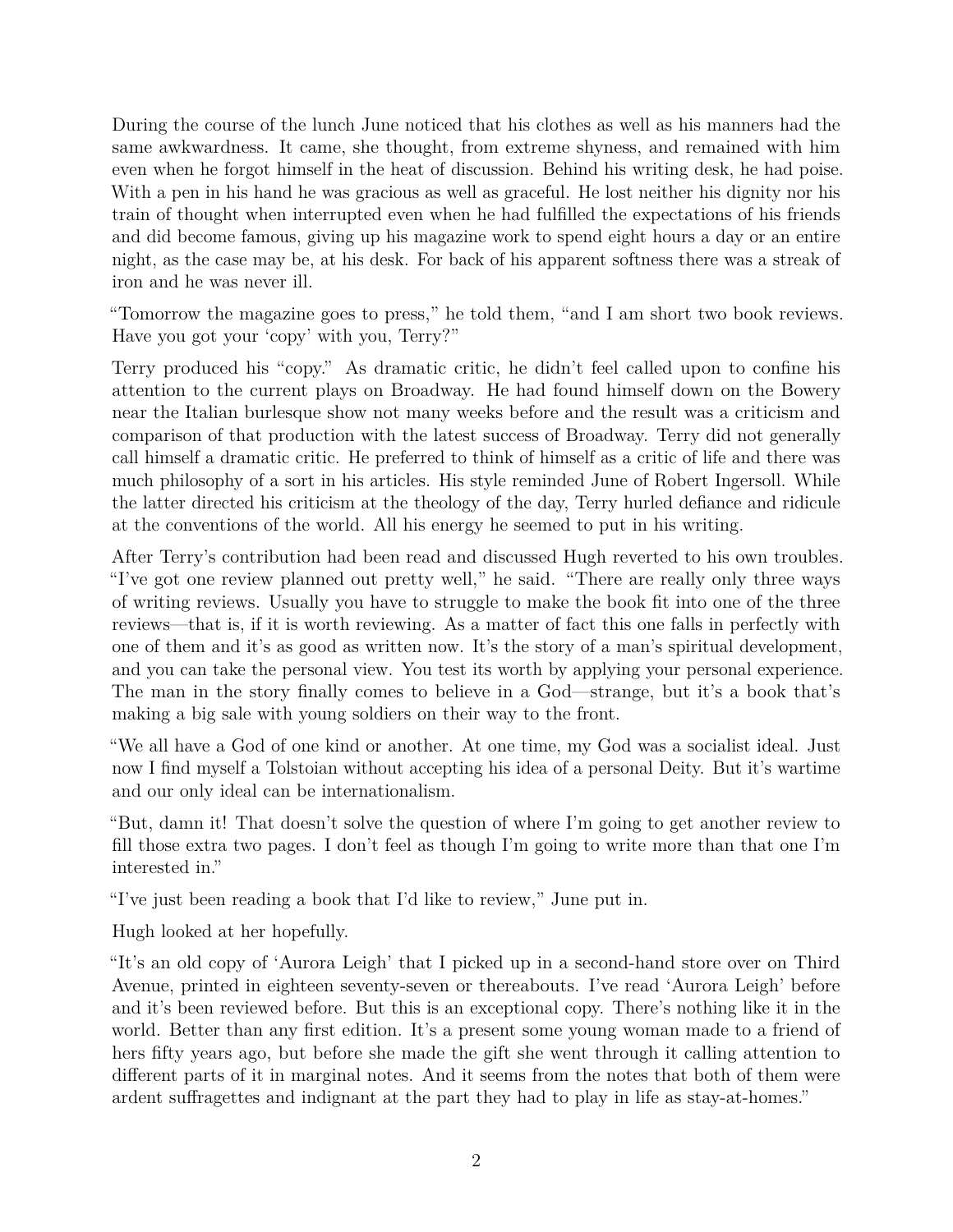During the course of the lunch June noticed that his clothes as well as his manners had the same awkwardness. It came, she thought, from extreme shyness, and remained with him even when he forgot himself in the heat of discussion. Behind his writing desk, he had poise. With a pen in his hand he was gracious as well as graceful. He lost neither his dignity nor his train of thought when interrupted even when he had fulfilled the expectations of his friends and did become famous, giving up his magazine work to spend eight hours a day or an entire night, as the case may be, at his desk. For back of his apparent softness there was a streak of iron and he was never ill.

"Tomorrow the magazine goes to press," he told them, "and I am short two book reviews. Have you got your 'copy' with you, Terry?"

Terry produced his "copy." As dramatic critic, he didn't feel called upon to confine his attention to the current plays on Broadway. He had found himself down on the Bowery near the Italian burlesque show not many weeks before and the result was a criticism and comparison of that production with the latest success of Broadway. Terry did not generally call himself a dramatic critic. He preferred to think of himself as a critic of life and there was much philosophy of a sort in his articles. His style reminded June of Robert Ingersoll. While the latter directed his criticism at the theology of the day, Terry hurled defiance and ridicule at the conventions of the world. All his energy he seemed to put in his writing.

After Terry's contribution had been read and discussed Hugh reverted to his own troubles. "I've got one review planned out pretty well," he said. "There are really only three ways of writing reviews. Usually you have to struggle to make the book fit into one of the three reviews—that is, if it is worth reviewing. As a matter of fact this one falls in perfectly with one of them and it's as good as written now. It's the story of a man's spiritual development, and you can take the personal view. You test its worth by applying your personal experience. The man in the story finally comes to believe in a God—strange, but it's a book that's making a big sale with young soldiers on their way to the front.

"We all have a God of one kind or another. At one time, my God was a socialist ideal. Just now I find myself a Tolstoian without accepting his idea of a personal Deity. But it's wartime and our only ideal can be internationalism.

"But, damn it! That doesn't solve the question of where I'm going to get another review to fill those extra two pages. I don't feel as though I'm going to write more than that one I'm interested in."

"I've just been reading a book that I'd like to review," June put in.

Hugh looked at her hopefully.

"It's an old copy of 'Aurora Leigh' that I picked up in a second-hand store over on Third Avenue, printed in eighteen seventy-seven or thereabouts. I've read 'Aurora Leigh' before and it's been reviewed before. But this is an exceptional copy. There's nothing like it in the world. Better than any first edition. It's a present some young woman made to a friend of hers fifty years ago, but before she made the gift she went through it calling attention to different parts of it in marginal notes. And it seems from the notes that both of them were ardent suffragettes and indignant at the part they had to play in life as stay-at-homes."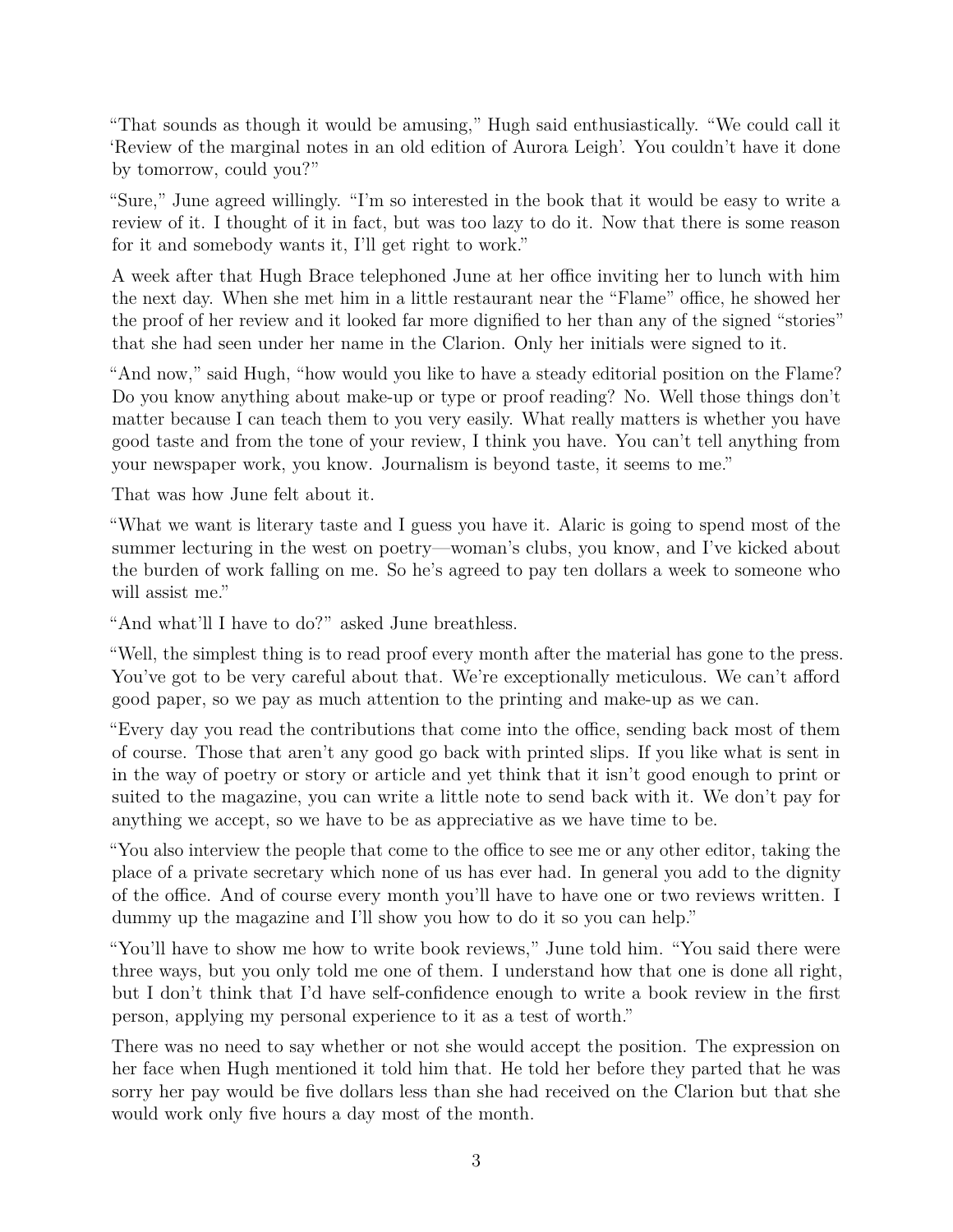"That sounds as though it would be amusing," Hugh said enthusiastically. "We could call it 'Review of the marginal notes in an old edition of Aurora Leigh'. You couldn't have it done by tomorrow, could you?"

"Sure," June agreed willingly. "I'm so interested in the book that it would be easy to write a review of it. I thought of it in fact, but was too lazy to do it. Now that there is some reason for it and somebody wants it, I'll get right to work."

A week after that Hugh Brace telephoned June at her office inviting her to lunch with him the next day. When she met him in a little restaurant near the "Flame" office, he showed her the proof of her review and it looked far more dignified to her than any of the signed "stories" that she had seen under her name in the Clarion. Only her initials were signed to it.

"And now," said Hugh, "how would you like to have a steady editorial position on the Flame? Do you know anything about make-up or type or proof reading? No. Well those things don't matter because I can teach them to you very easily. What really matters is whether you have good taste and from the tone of your review, I think you have. You can't tell anything from your newspaper work, you know. Journalism is beyond taste, it seems to me."

That was how June felt about it.

"What we want is literary taste and I guess you have it. Alaric is going to spend most of the summer lecturing in the west on poetry—woman's clubs, you know, and I've kicked about the burden of work falling on me. So he's agreed to pay ten dollars a week to someone who will assist me."

"And what'll I have to do?" asked June breathless.

"Well, the simplest thing is to read proof every month after the material has gone to the press. You've got to be very careful about that. We're exceptionally meticulous. We can't afford good paper, so we pay as much attention to the printing and make-up as we can.

"Every day you read the contributions that come into the office, sending back most of them of course. Those that aren't any good go back with printed slips. If you like what is sent in in the way of poetry or story or article and yet think that it isn't good enough to print or suited to the magazine, you can write a little note to send back with it. We don't pay for anything we accept, so we have to be as appreciative as we have time to be.

"You also interview the people that come to the office to see me or any other editor, taking the place of a private secretary which none of us has ever had. In general you add to the dignity of the office. And of course every month you'll have to have one or two reviews written. I dummy up the magazine and I'll show you how to do it so you can help."

"You'll have to show me how to write book reviews," June told him. "You said there were three ways, but you only told me one of them. I understand how that one is done all right, but I don't think that I'd have self-confidence enough to write a book review in the first person, applying my personal experience to it as a test of worth."

There was no need to say whether or not she would accept the position. The expression on her face when Hugh mentioned it told him that. He told her before they parted that he was sorry her pay would be five dollars less than she had received on the Clarion but that she would work only five hours a day most of the month.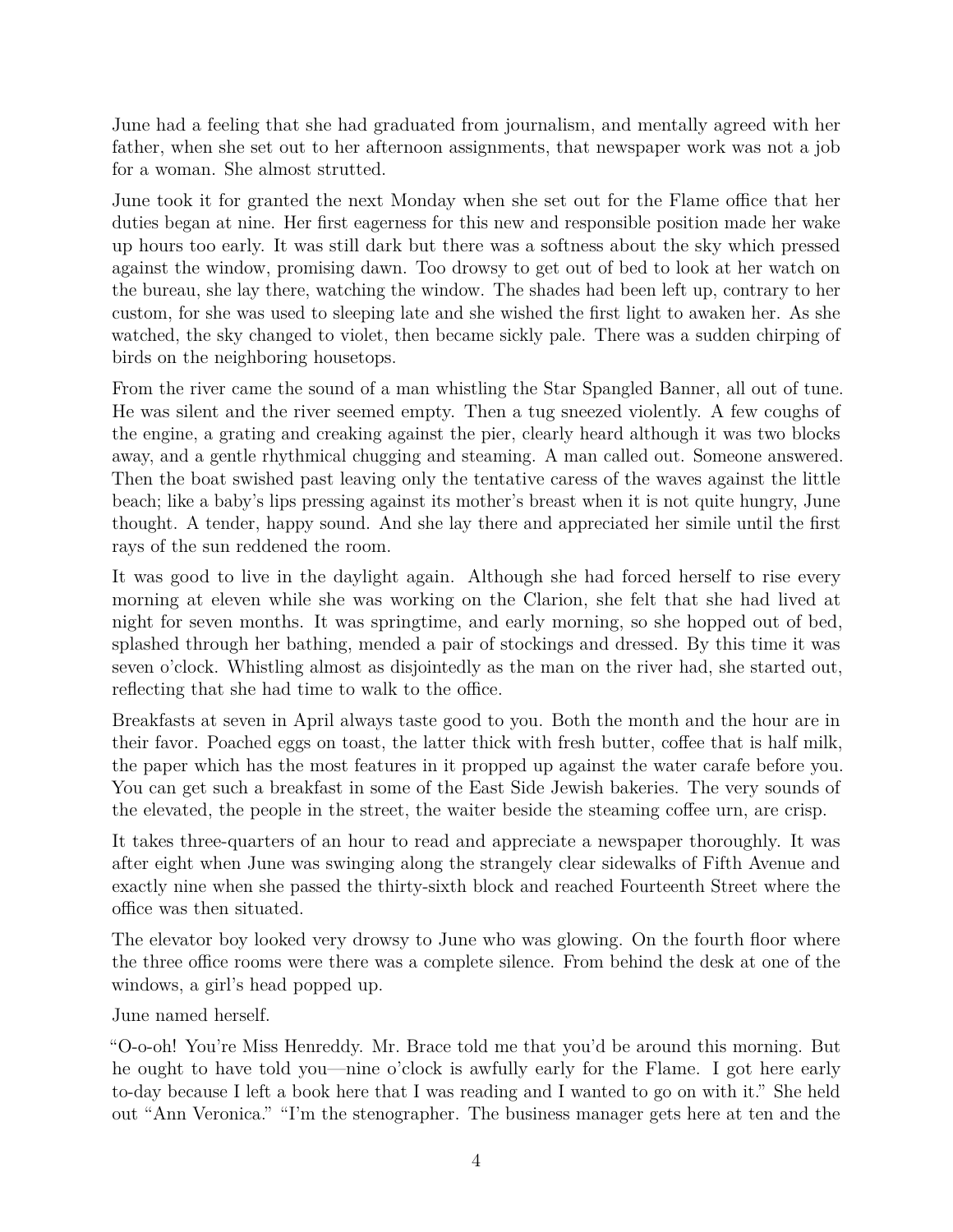June had a feeling that she had graduated from journalism, and mentally agreed with her father, when she set out to her afternoon assignments, that newspaper work was not a job for a woman. She almost strutted.

June took it for granted the next Monday when she set out for the Flame office that her duties began at nine. Her first eagerness for this new and responsible position made her wake up hours too early. It was still dark but there was a softness about the sky which pressed against the window, promising dawn. Too drowsy to get out of bed to look at her watch on the bureau, she lay there, watching the window. The shades had been left up, contrary to her custom, for she was used to sleeping late and she wished the first light to awaken her. As she watched, the sky changed to violet, then became sickly pale. There was a sudden chirping of birds on the neighboring housetops.

From the river came the sound of a man whistling the Star Spangled Banner, all out of tune. He was silent and the river seemed empty. Then a tug sneezed violently. A few coughs of the engine, a grating and creaking against the pier, clearly heard although it was two blocks away, and a gentle rhythmical chugging and steaming. A man called out. Someone answered. Then the boat swished past leaving only the tentative caress of the waves against the little beach; like a baby's lips pressing against its mother's breast when it is not quite hungry, June thought. A tender, happy sound. And she lay there and appreciated her simile until the first rays of the sun reddened the room.

It was good to live in the daylight again. Although she had forced herself to rise every morning at eleven while she was working on the Clarion, she felt that she had lived at night for seven months. It was springtime, and early morning, so she hopped out of bed, splashed through her bathing, mended a pair of stockings and dressed. By this time it was seven o'clock. Whistling almost as disjointedly as the man on the river had, she started out, reflecting that she had time to walk to the office.

Breakfasts at seven in April always taste good to you. Both the month and the hour are in their favor. Poached eggs on toast, the latter thick with fresh butter, coffee that is half milk, the paper which has the most features in it propped up against the water carafe before you. You can get such a breakfast in some of the East Side Jewish bakeries. The very sounds of the elevated, the people in the street, the waiter beside the steaming coffee urn, are crisp.

It takes three-quarters of an hour to read and appreciate a newspaper thoroughly. It was after eight when June was swinging along the strangely clear sidewalks of Fifth Avenue and exactly nine when she passed the thirty-sixth block and reached Fourteenth Street where the office was then situated.

The elevator boy looked very drowsy to June who was glowing. On the fourth floor where the three office rooms were there was a complete silence. From behind the desk at one of the windows, a girl's head popped up.

June named herself.

"O-o-oh! You're Miss Henreddy. Mr. Brace told me that you'd be around this morning. But he ought to have told you—nine o'clock is awfully early for the Flame. I got here early to-day because I left a book here that I was reading and I wanted to go on with it." She held out "Ann Veronica." "I'm the stenographer. The business manager gets here at ten and the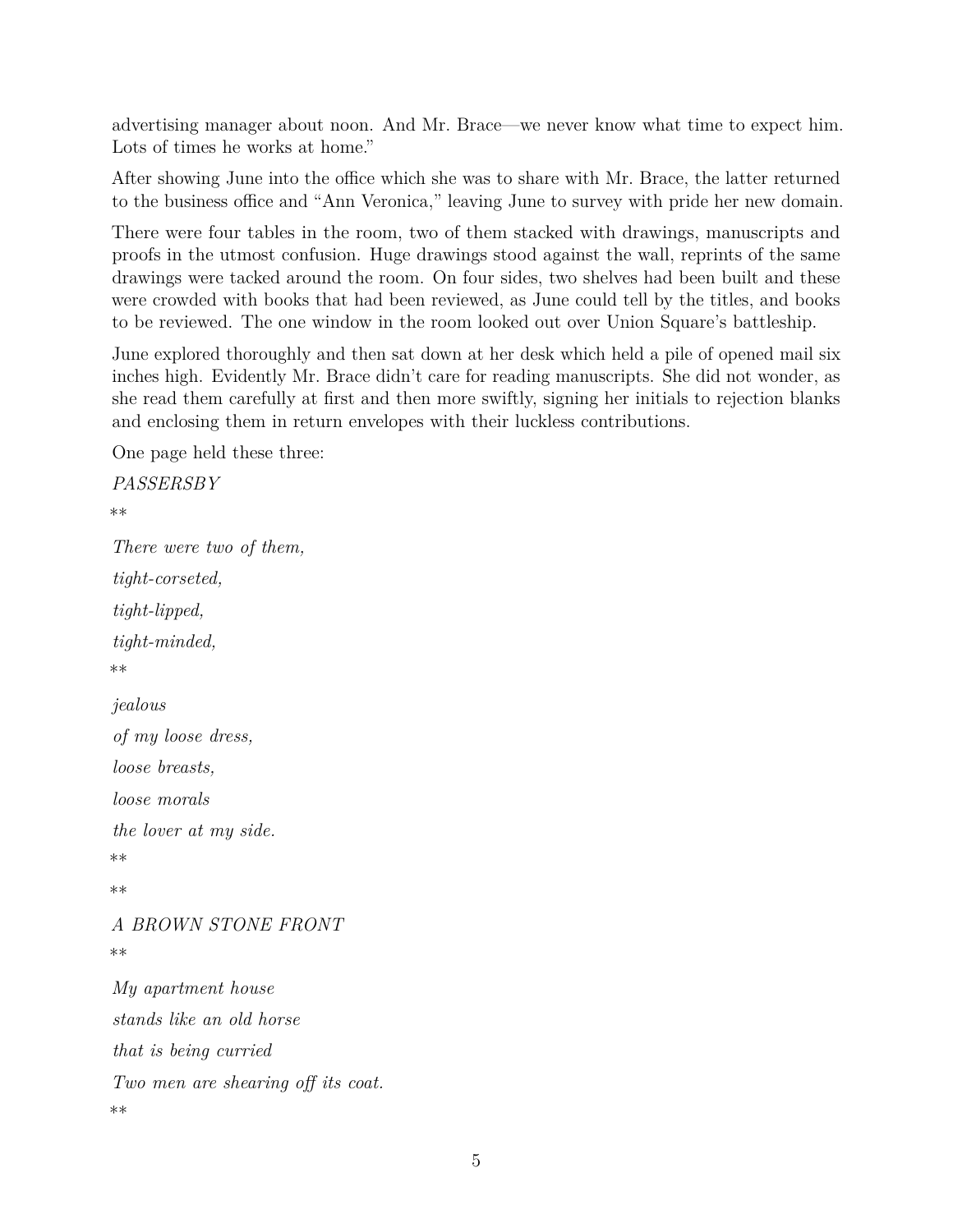advertising manager about noon. And Mr. Brace—we never know what time to expect him. Lots of times he works at home."

After showing June into the office which she was to share with Mr. Brace, the latter returned to the business office and "Ann Veronica," leaving June to survey with pride her new domain.

There were four tables in the room, two of them stacked with drawings, manuscripts and proofs in the utmost confusion. Huge drawings stood against the wall, reprints of the same drawings were tacked around the room. On four sides, two shelves had been built and these were crowded with books that had been reviewed, as June could tell by the titles, and books to be reviewed. The one window in the room looked out over Union Square's battleship.

June explored thoroughly and then sat down at her desk which held a pile of opened mail six inches high. Evidently Mr. Brace didn't care for reading manuscripts. She did not wonder, as she read them carefully at first and then more swiftly, signing her initials to rejection blanks and enclosing them in return envelopes with their luckless contributions.

One page held these three:

```
PASSERSBY
**
There were two of them,
tight-corseted,
tight-lipped,
tight-minded,
**
jealous
of my loose dress,
loose breasts,
loose morals
the lover at my side.
**
**
A BROWN STONE FRONT
**
My apartment house
stands like an old horse
that is being curried
Two men are shearing off its coat.
**
```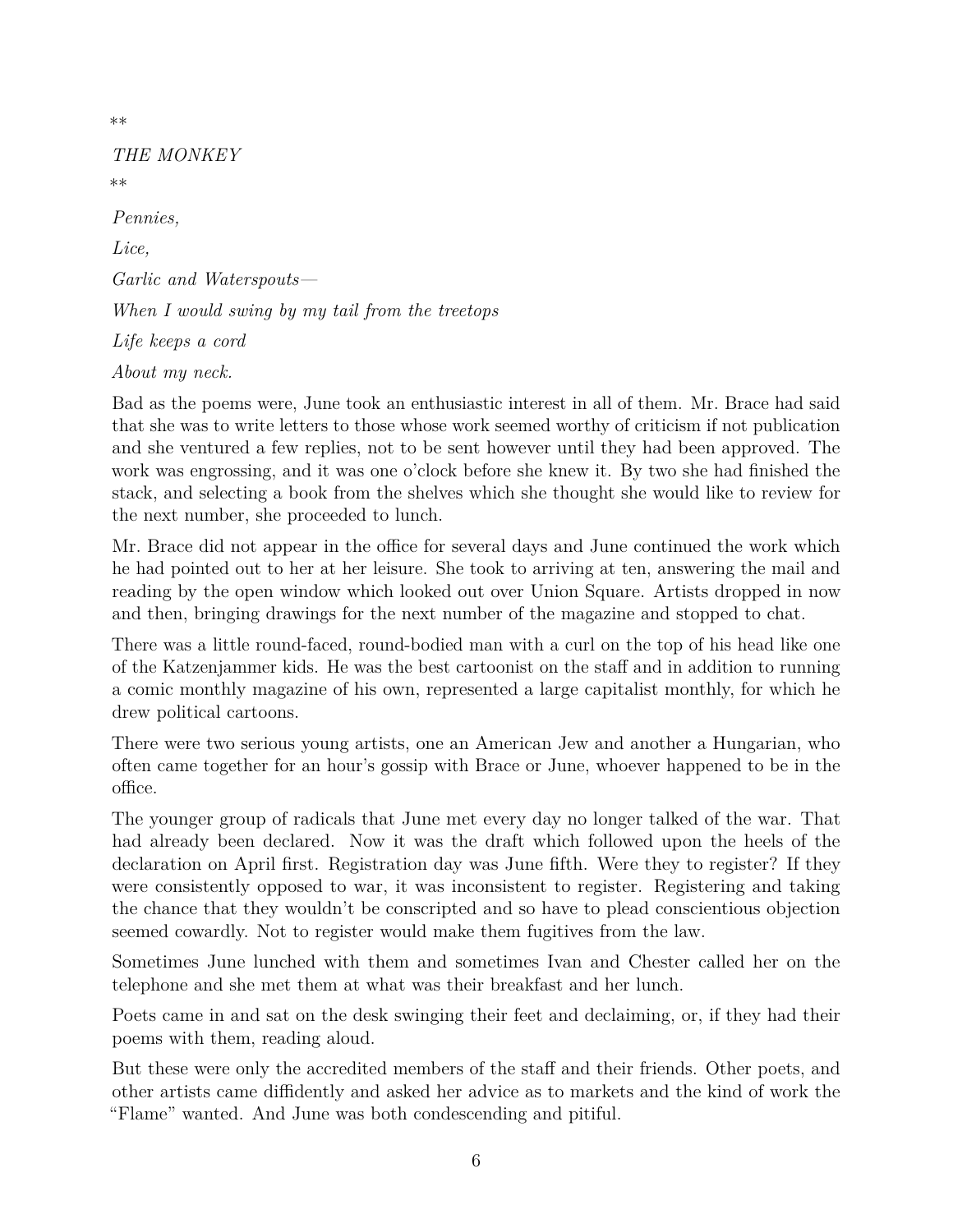\*\*

## *THE MONKEY* \*\*

*Pennies, Lice, Garlic and Waterspouts— When I would swing by my tail from the treetops Life keeps a cord About my neck.*

Bad as the poems were, June took an enthusiastic interest in all of them. Mr. Brace had said that she was to write letters to those whose work seemed worthy of criticism if not publication and she ventured a few replies, not to be sent however until they had been approved. The work was engrossing, and it was one o'clock before she knew it. By two she had finished the stack, and selecting a book from the shelves which she thought she would like to review for the next number, she proceeded to lunch.

Mr. Brace did not appear in the office for several days and June continued the work which he had pointed out to her at her leisure. She took to arriving at ten, answering the mail and reading by the open window which looked out over Union Square. Artists dropped in now and then, bringing drawings for the next number of the magazine and stopped to chat.

There was a little round-faced, round-bodied man with a curl on the top of his head like one of the Katzenjammer kids. He was the best cartoonist on the staff and in addition to running a comic monthly magazine of his own, represented a large capitalist monthly, for which he drew political cartoons.

There were two serious young artists, one an American Jew and another a Hungarian, who often came together for an hour's gossip with Brace or June, whoever happened to be in the office.

The younger group of radicals that June met every day no longer talked of the war. That had already been declared. Now it was the draft which followed upon the heels of the declaration on April first. Registration day was June fifth. Were they to register? If they were consistently opposed to war, it was inconsistent to register. Registering and taking the chance that they wouldn't be conscripted and so have to plead conscientious objection seemed cowardly. Not to register would make them fugitives from the law.

Sometimes June lunched with them and sometimes Ivan and Chester called her on the telephone and she met them at what was their breakfast and her lunch.

Poets came in and sat on the desk swinging their feet and declaiming, or, if they had their poems with them, reading aloud.

But these were only the accredited members of the staff and their friends. Other poets, and other artists came diffidently and asked her advice as to markets and the kind of work the "Flame" wanted. And June was both condescending and pitiful.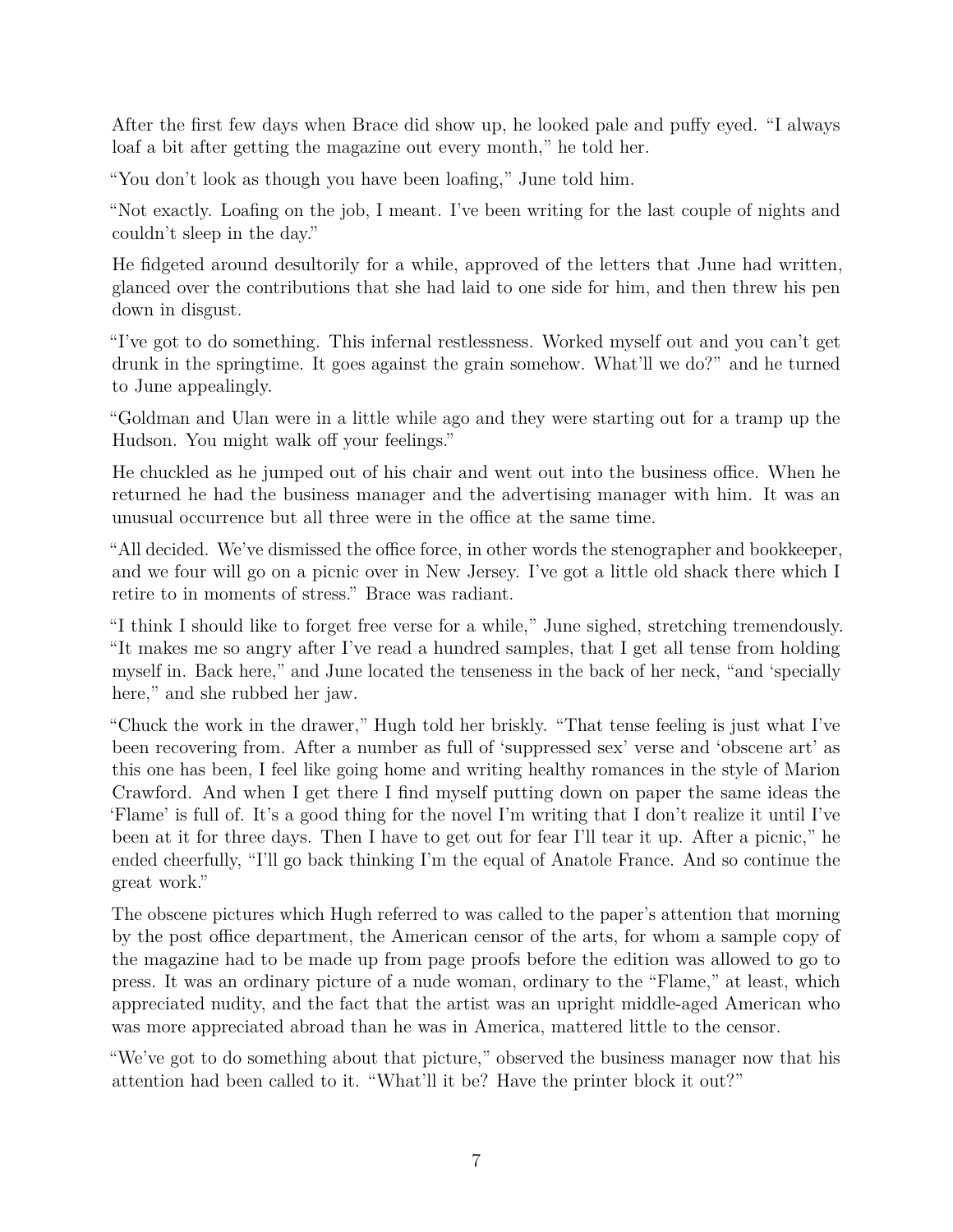After the first few days when Brace did show up, he looked pale and puffy eyed. "I always loaf a bit after getting the magazine out every month," he told her.

"You don't look as though you have been loafing," June told him.

"Not exactly. Loafing on the job, I meant. I've been writing for the last couple of nights and couldn't sleep in the day."

He fidgeted around desultorily for a while, approved of the letters that June had written, glanced over the contributions that she had laid to one side for him, and then threw his pen down in disgust.

"I've got to do something. This infernal restlessness. Worked myself out and you can't get drunk in the springtime. It goes against the grain somehow. What'll we do?" and he turned to June appealingly.

"Goldman and Ulan were in a little while ago and they were starting out for a tramp up the Hudson. You might walk off your feelings."

He chuckled as he jumped out of his chair and went out into the business office. When he returned he had the business manager and the advertising manager with him. It was an unusual occurrence but all three were in the office at the same time.

"All decided. We've dismissed the office force, in other words the stenographer and bookkeeper, and we four will go on a picnic over in New Jersey. I've got a little old shack there which I retire to in moments of stress." Brace was radiant.

"I think I should like to forget free verse for a while," June sighed, stretching tremendously. "It makes me so angry after I've read a hundred samples, that I get all tense from holding myself in. Back here," and June located the tenseness in the back of her neck, "and 'specially here," and she rubbed her jaw.

"Chuck the work in the drawer," Hugh told her briskly. "That tense feeling is just what I've been recovering from. After a number as full of 'suppressed sex' verse and 'obscene art' as this one has been, I feel like going home and writing healthy romances in the style of Marion Crawford. And when I get there I find myself putting down on paper the same ideas the 'Flame' is full of. It's a good thing for the novel I'm writing that I don't realize it until I've been at it for three days. Then I have to get out for fear I'll tear it up. After a picnic," he ended cheerfully, "I'll go back thinking I'm the equal of Anatole France. And so continue the great work."

The obscene pictures which Hugh referred to was called to the paper's attention that morning by the post office department, the American censor of the arts, for whom a sample copy of the magazine had to be made up from page proofs before the edition was allowed to go to press. It was an ordinary picture of a nude woman, ordinary to the "Flame," at least, which appreciated nudity, and the fact that the artist was an upright middle-aged American who was more appreciated abroad than he was in America, mattered little to the censor.

"We've got to do something about that picture," observed the business manager now that his attention had been called to it. "What'll it be? Have the printer block it out?"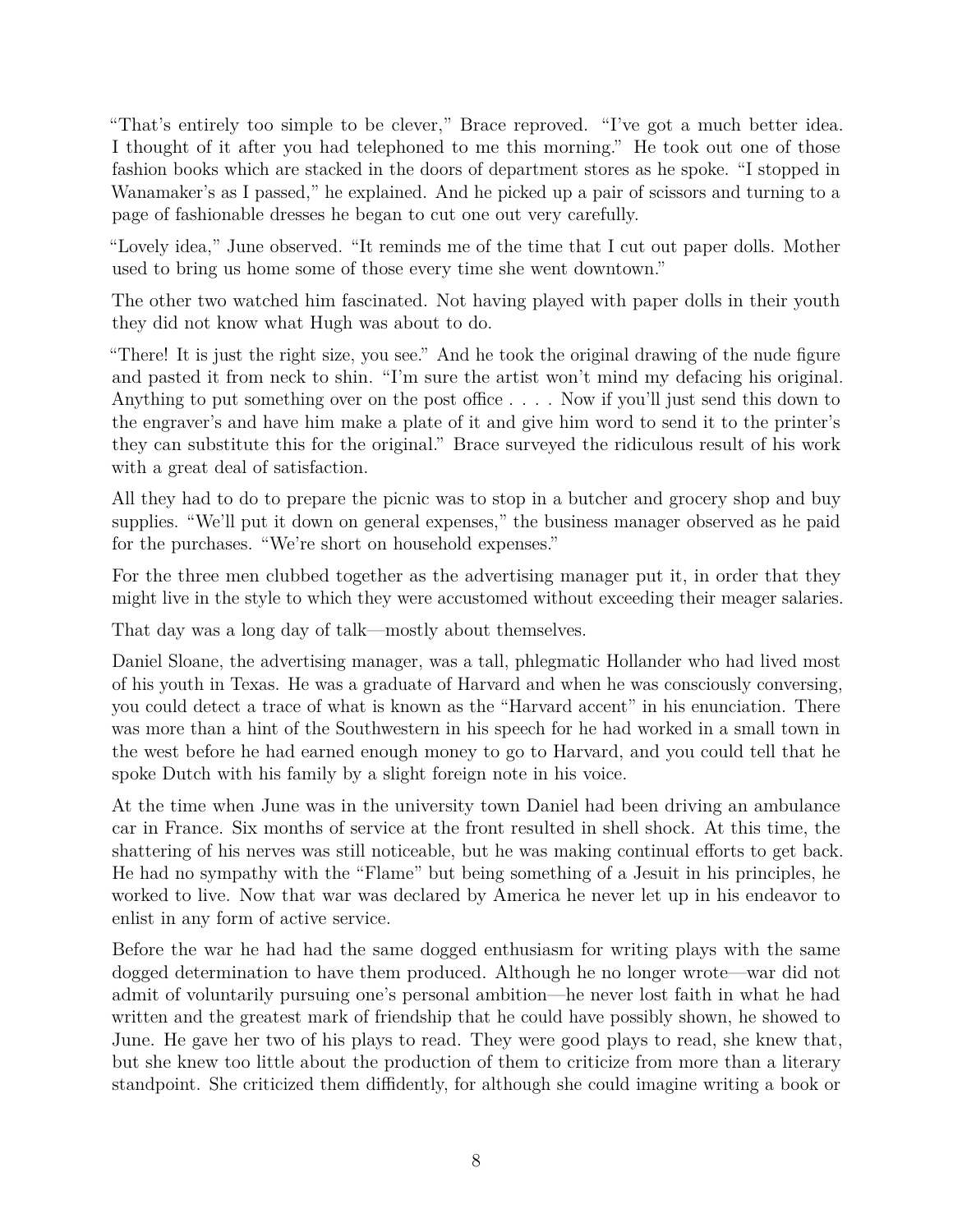"That's entirely too simple to be clever," Brace reproved. "I've got a much better idea. I thought of it after you had telephoned to me this morning." He took out one of those fashion books which are stacked in the doors of department stores as he spoke. "I stopped in Wanamaker's as I passed," he explained. And he picked up a pair of scissors and turning to a page of fashionable dresses he began to cut one out very carefully.

"Lovely idea," June observed. "It reminds me of the time that I cut out paper dolls. Mother used to bring us home some of those every time she went downtown."

The other two watched him fascinated. Not having played with paper dolls in their youth they did not know what Hugh was about to do.

"There! It is just the right size, you see." And he took the original drawing of the nude figure and pasted it from neck to shin. "I'm sure the artist won't mind my defacing his original. Anything to put something over on the post office . . . . Now if you'll just send this down to the engraver's and have him make a plate of it and give him word to send it to the printer's they can substitute this for the original." Brace surveyed the ridiculous result of his work with a great deal of satisfaction.

All they had to do to prepare the picnic was to stop in a butcher and grocery shop and buy supplies. "We'll put it down on general expenses," the business manager observed as he paid for the purchases. "We're short on household expenses."

For the three men clubbed together as the advertising manager put it, in order that they might live in the style to which they were accustomed without exceeding their meager salaries.

That day was a long day of talk—mostly about themselves.

Daniel Sloane, the advertising manager, was a tall, phlegmatic Hollander who had lived most of his youth in Texas. He was a graduate of Harvard and when he was consciously conversing, you could detect a trace of what is known as the "Harvard accent" in his enunciation. There was more than a hint of the Southwestern in his speech for he had worked in a small town in the west before he had earned enough money to go to Harvard, and you could tell that he spoke Dutch with his family by a slight foreign note in his voice.

At the time when June was in the university town Daniel had been driving an ambulance car in France. Six months of service at the front resulted in shell shock. At this time, the shattering of his nerves was still noticeable, but he was making continual efforts to get back. He had no sympathy with the "Flame" but being something of a Jesuit in his principles, he worked to live. Now that war was declared by America he never let up in his endeavor to enlist in any form of active service.

Before the war he had had the same dogged enthusiasm for writing plays with the same dogged determination to have them produced. Although he no longer wrote—war did not admit of voluntarily pursuing one's personal ambition—he never lost faith in what he had written and the greatest mark of friendship that he could have possibly shown, he showed to June. He gave her two of his plays to read. They were good plays to read, she knew that, but she knew too little about the production of them to criticize from more than a literary standpoint. She criticized them diffidently, for although she could imagine writing a book or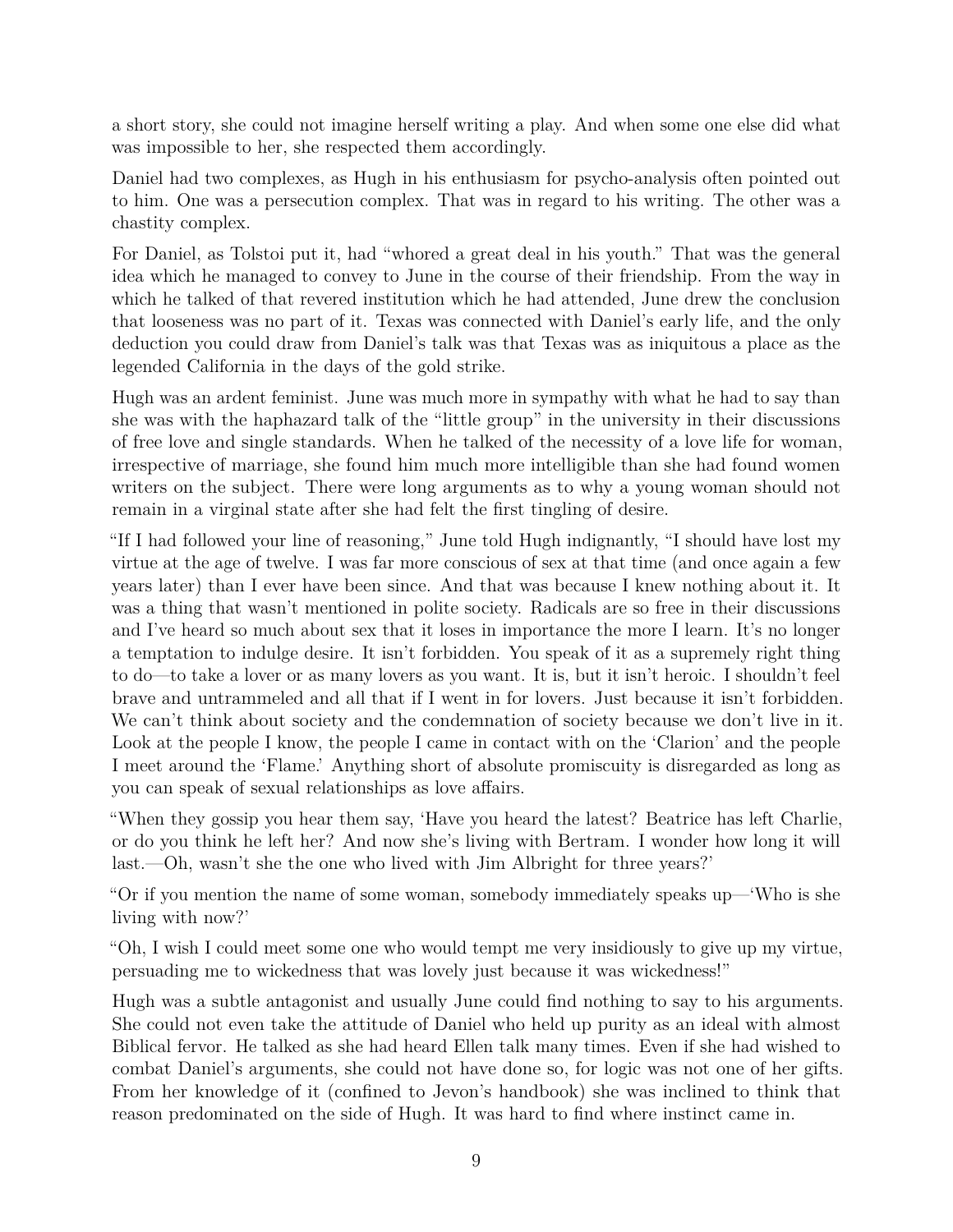a short story, she could not imagine herself writing a play. And when some one else did what was impossible to her, she respected them accordingly.

Daniel had two complexes, as Hugh in his enthusiasm for psycho-analysis often pointed out to him. One was a persecution complex. That was in regard to his writing. The other was a chastity complex.

For Daniel, as Tolstoi put it, had "whored a great deal in his youth." That was the general idea which he managed to convey to June in the course of their friendship. From the way in which he talked of that revered institution which he had attended, June drew the conclusion that looseness was no part of it. Texas was connected with Daniel's early life, and the only deduction you could draw from Daniel's talk was that Texas was as iniquitous a place as the legended California in the days of the gold strike.

Hugh was an ardent feminist. June was much more in sympathy with what he had to say than she was with the haphazard talk of the "little group" in the university in their discussions of free love and single standards. When he talked of the necessity of a love life for woman, irrespective of marriage, she found him much more intelligible than she had found women writers on the subject. There were long arguments as to why a young woman should not remain in a virginal state after she had felt the first tingling of desire.

"If I had followed your line of reasoning," June told Hugh indignantly, "I should have lost my virtue at the age of twelve. I was far more conscious of sex at that time (and once again a few years later) than I ever have been since. And that was because I knew nothing about it. It was a thing that wasn't mentioned in polite society. Radicals are so free in their discussions and I've heard so much about sex that it loses in importance the more I learn. It's no longer a temptation to indulge desire. It isn't forbidden. You speak of it as a supremely right thing to do—to take a lover or as many lovers as you want. It is, but it isn't heroic. I shouldn't feel brave and untrammeled and all that if I went in for lovers. Just because it isn't forbidden. We can't think about society and the condemnation of society because we don't live in it. Look at the people I know, the people I came in contact with on the 'Clarion' and the people I meet around the 'Flame.' Anything short of absolute promiscuity is disregarded as long as you can speak of sexual relationships as love affairs.

"When they gossip you hear them say, 'Have you heard the latest? Beatrice has left Charlie, or do you think he left her? And now she's living with Bertram. I wonder how long it will last.—Oh, wasn't she the one who lived with Jim Albright for three years?'

"Or if you mention the name of some woman, somebody immediately speaks up—'Who is she living with now?'

"Oh, I wish I could meet some one who would tempt me very insidiously to give up my virtue, persuading me to wickedness that was lovely just because it was wickedness!"

Hugh was a subtle antagonist and usually June could find nothing to say to his arguments. She could not even take the attitude of Daniel who held up purity as an ideal with almost Biblical fervor. He talked as she had heard Ellen talk many times. Even if she had wished to combat Daniel's arguments, she could not have done so, for logic was not one of her gifts. From her knowledge of it (confined to Jevon's handbook) she was inclined to think that reason predominated on the side of Hugh. It was hard to find where instinct came in.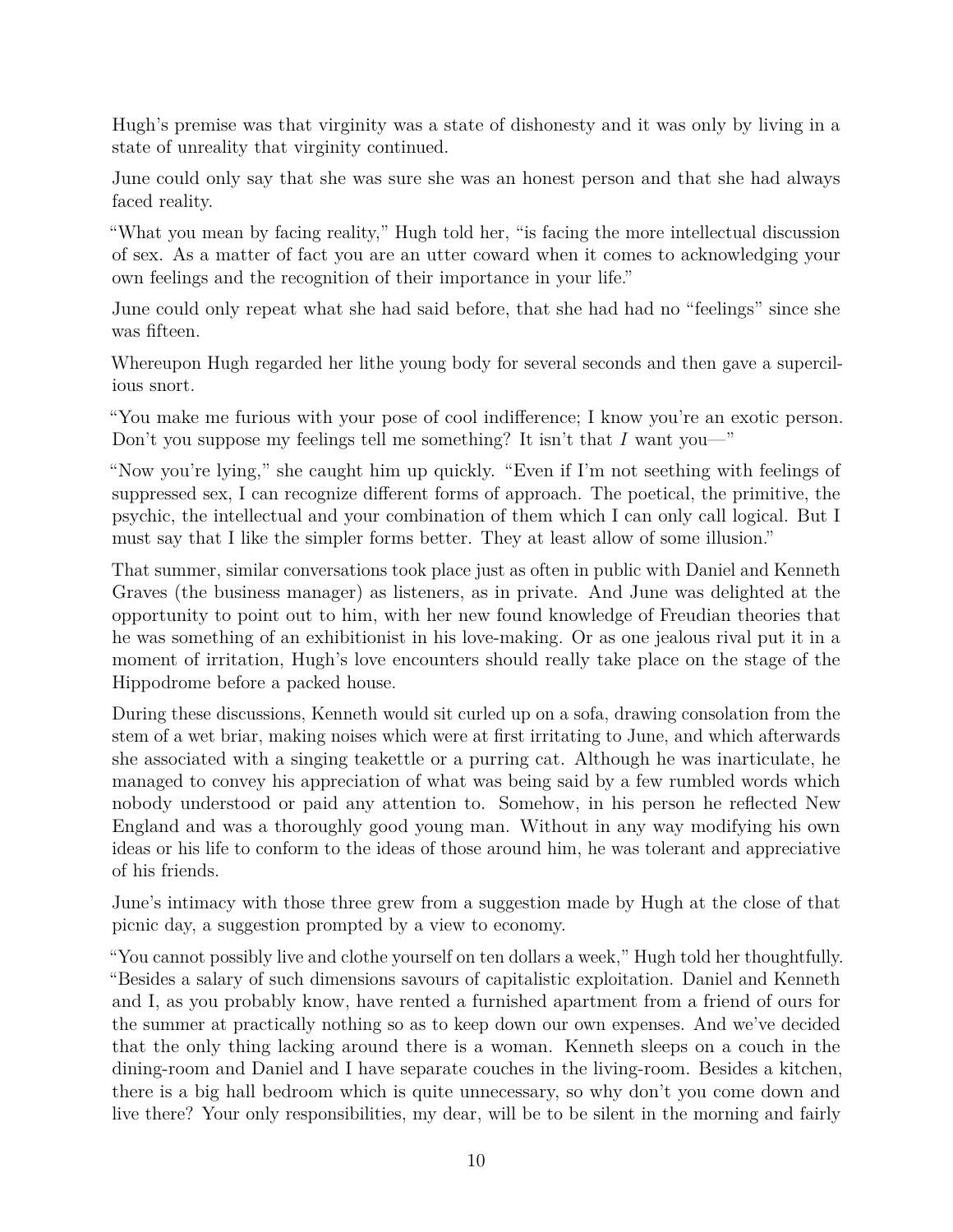Hugh's premise was that virginity was a state of dishonesty and it was only by living in a state of unreality that virginity continued.

June could only say that she was sure she was an honest person and that she had always faced reality.

"What you mean by facing reality," Hugh told her, "is facing the more intellectual discussion of sex. As a matter of fact you are an utter coward when it comes to acknowledging your own feelings and the recognition of their importance in your life."

June could only repeat what she had said before, that she had had no "feelings" since she was fifteen.

Whereupon Hugh regarded her lithe young body for several seconds and then gave a supercilious snort.

"You make me furious with your pose of cool indifference; I know you're an exotic person. Don't you suppose my feelings tell me something? It isn't that *I* want you—"

"Now you're lying," she caught him up quickly. "Even if I'm not seething with feelings of suppressed sex, I can recognize different forms of approach. The poetical, the primitive, the psychic, the intellectual and your combination of them which I can only call logical. But I must say that I like the simpler forms better. They at least allow of some illusion."

That summer, similar conversations took place just as often in public with Daniel and Kenneth Graves (the business manager) as listeners, as in private. And June was delighted at the opportunity to point out to him, with her new found knowledge of Freudian theories that he was something of an exhibitionist in his love-making. Or as one jealous rival put it in a moment of irritation, Hugh's love encounters should really take place on the stage of the Hippodrome before a packed house.

During these discussions, Kenneth would sit curled up on a sofa, drawing consolation from the stem of a wet briar, making noises which were at first irritating to June, and which afterwards she associated with a singing teakettle or a purring cat. Although he was inarticulate, he managed to convey his appreciation of what was being said by a few rumbled words which nobody understood or paid any attention to. Somehow, in his person he reflected New England and was a thoroughly good young man. Without in any way modifying his own ideas or his life to conform to the ideas of those around him, he was tolerant and appreciative of his friends.

June's intimacy with those three grew from a suggestion made by Hugh at the close of that picnic day, a suggestion prompted by a view to economy.

"You cannot possibly live and clothe yourself on ten dollars a week," Hugh told her thoughtfully. "Besides a salary of such dimensions savours of capitalistic exploitation. Daniel and Kenneth and I, as you probably know, have rented a furnished apartment from a friend of ours for the summer at practically nothing so as to keep down our own expenses. And we've decided that the only thing lacking around there is a woman. Kenneth sleeps on a couch in the dining-room and Daniel and I have separate couches in the living-room. Besides a kitchen, there is a big hall bedroom which is quite unnecessary, so why don't you come down and live there? Your only responsibilities, my dear, will be to be silent in the morning and fairly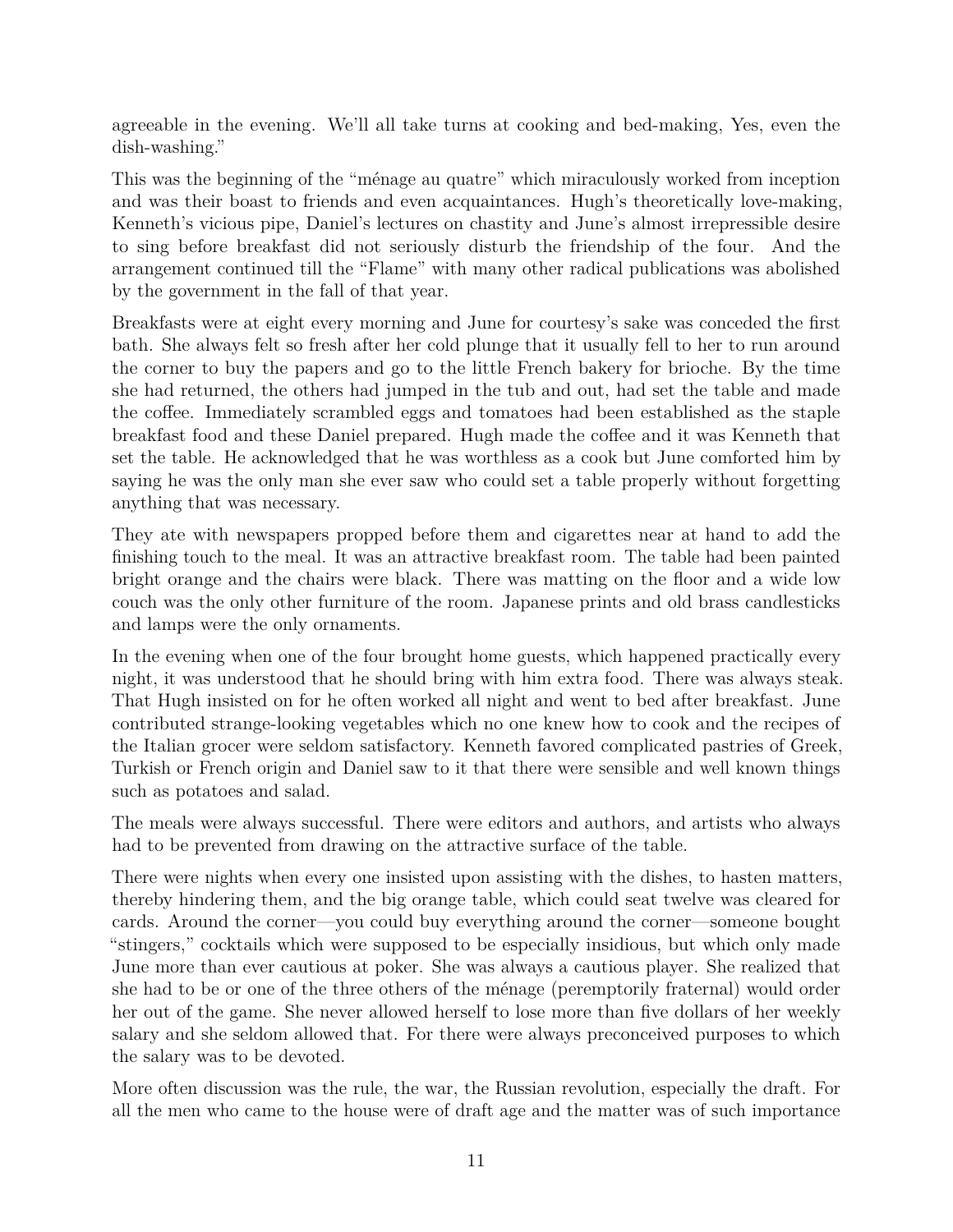agreeable in the evening. We'll all take turns at cooking and bed-making, Yes, even the dish-washing."

This was the beginning of the "ménage au quatre" which miraculously worked from inception and was their boast to friends and even acquaintances. Hugh's theoretically love-making, Kenneth's vicious pipe, Daniel's lectures on chastity and June's almost irrepressible desire to sing before breakfast did not seriously disturb the friendship of the four. And the arrangement continued till the "Flame" with many other radical publications was abolished by the government in the fall of that year.

Breakfasts were at eight every morning and June for courtesy's sake was conceded the first bath. She always felt so fresh after her cold plunge that it usually fell to her to run around the corner to buy the papers and go to the little French bakery for brioche. By the time she had returned, the others had jumped in the tub and out, had set the table and made the coffee. Immediately scrambled eggs and tomatoes had been established as the staple breakfast food and these Daniel prepared. Hugh made the coffee and it was Kenneth that set the table. He acknowledged that he was worthless as a cook but June comforted him by saying he was the only man she ever saw who could set a table properly without forgetting anything that was necessary.

They ate with newspapers propped before them and cigarettes near at hand to add the finishing touch to the meal. It was an attractive breakfast room. The table had been painted bright orange and the chairs were black. There was matting on the floor and a wide low couch was the only other furniture of the room. Japanese prints and old brass candlesticks and lamps were the only ornaments.

In the evening when one of the four brought home guests, which happened practically every night, it was understood that he should bring with him extra food. There was always steak. That Hugh insisted on for he often worked all night and went to bed after breakfast. June contributed strange-looking vegetables which no one knew how to cook and the recipes of the Italian grocer were seldom satisfactory. Kenneth favored complicated pastries of Greek, Turkish or French origin and Daniel saw to it that there were sensible and well known things such as potatoes and salad.

The meals were always successful. There were editors and authors, and artists who always had to be prevented from drawing on the attractive surface of the table.

There were nights when every one insisted upon assisting with the dishes, to hasten matters, thereby hindering them, and the big orange table, which could seat twelve was cleared for cards. Around the corner—you could buy everything around the corner—someone bought "stingers," cocktails which were supposed to be especially insidious, but which only made June more than ever cautious at poker. She was always a cautious player. She realized that she had to be or one of the three others of the ménage (peremptorily fraternal) would order her out of the game. She never allowed herself to lose more than five dollars of her weekly salary and she seldom allowed that. For there were always preconceived purposes to which the salary was to be devoted.

More often discussion was the rule, the war, the Russian revolution, especially the draft. For all the men who came to the house were of draft age and the matter was of such importance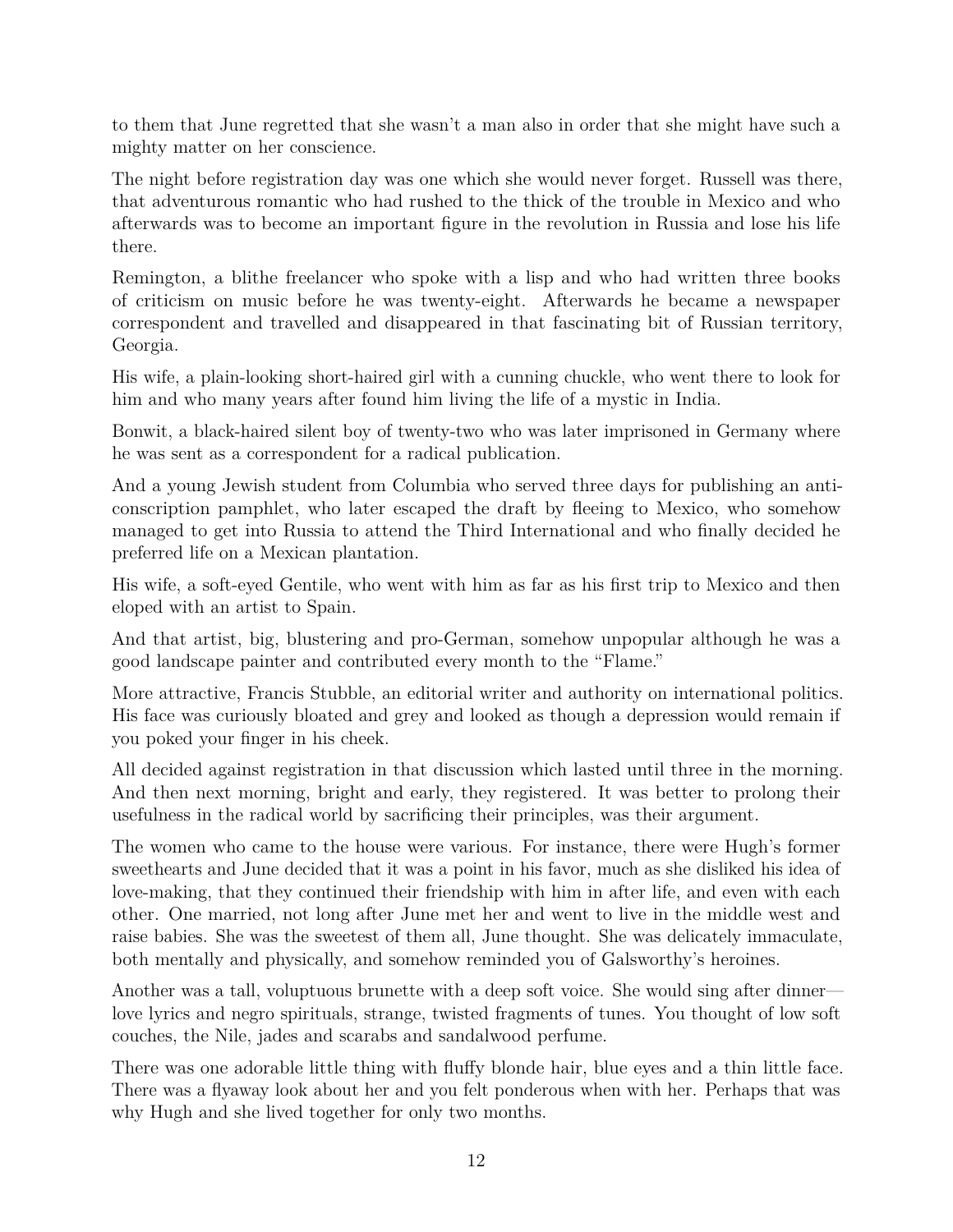to them that June regretted that she wasn't a man also in order that she might have such a mighty matter on her conscience.

The night before registration day was one which she would never forget. Russell was there, that adventurous romantic who had rushed to the thick of the trouble in Mexico and who afterwards was to become an important figure in the revolution in Russia and lose his life there.

Remington, a blithe freelancer who spoke with a lisp and who had written three books of criticism on music before he was twenty-eight. Afterwards he became a newspaper correspondent and travelled and disappeared in that fascinating bit of Russian territory, Georgia.

His wife, a plain-looking short-haired girl with a cunning chuckle, who went there to look for him and who many years after found him living the life of a mystic in India.

Bonwit, a black-haired silent boy of twenty-two who was later imprisoned in Germany where he was sent as a correspondent for a radical publication.

And a young Jewish student from Columbia who served three days for publishing an anticonscription pamphlet, who later escaped the draft by fleeing to Mexico, who somehow managed to get into Russia to attend the Third International and who finally decided he preferred life on a Mexican plantation.

His wife, a soft-eyed Gentile, who went with him as far as his first trip to Mexico and then eloped with an artist to Spain.

And that artist, big, blustering and pro-German, somehow unpopular although he was a good landscape painter and contributed every month to the "Flame."

More attractive, Francis Stubble, an editorial writer and authority on international politics. His face was curiously bloated and grey and looked as though a depression would remain if you poked your finger in his cheek.

All decided against registration in that discussion which lasted until three in the morning. And then next morning, bright and early, they registered. It was better to prolong their usefulness in the radical world by sacrificing their principles, was their argument.

The women who came to the house were various. For instance, there were Hugh's former sweethearts and June decided that it was a point in his favor, much as she disliked his idea of love-making, that they continued their friendship with him in after life, and even with each other. One married, not long after June met her and went to live in the middle west and raise babies. She was the sweetest of them all, June thought. She was delicately immaculate, both mentally and physically, and somehow reminded you of Galsworthy's heroines.

Another was a tall, voluptuous brunette with a deep soft voice. She would sing after dinner love lyrics and negro spirituals, strange, twisted fragments of tunes. You thought of low soft couches, the Nile, jades and scarabs and sandalwood perfume.

There was one adorable little thing with fluffy blonde hair, blue eyes and a thin little face. There was a flyaway look about her and you felt ponderous when with her. Perhaps that was why Hugh and she lived together for only two months.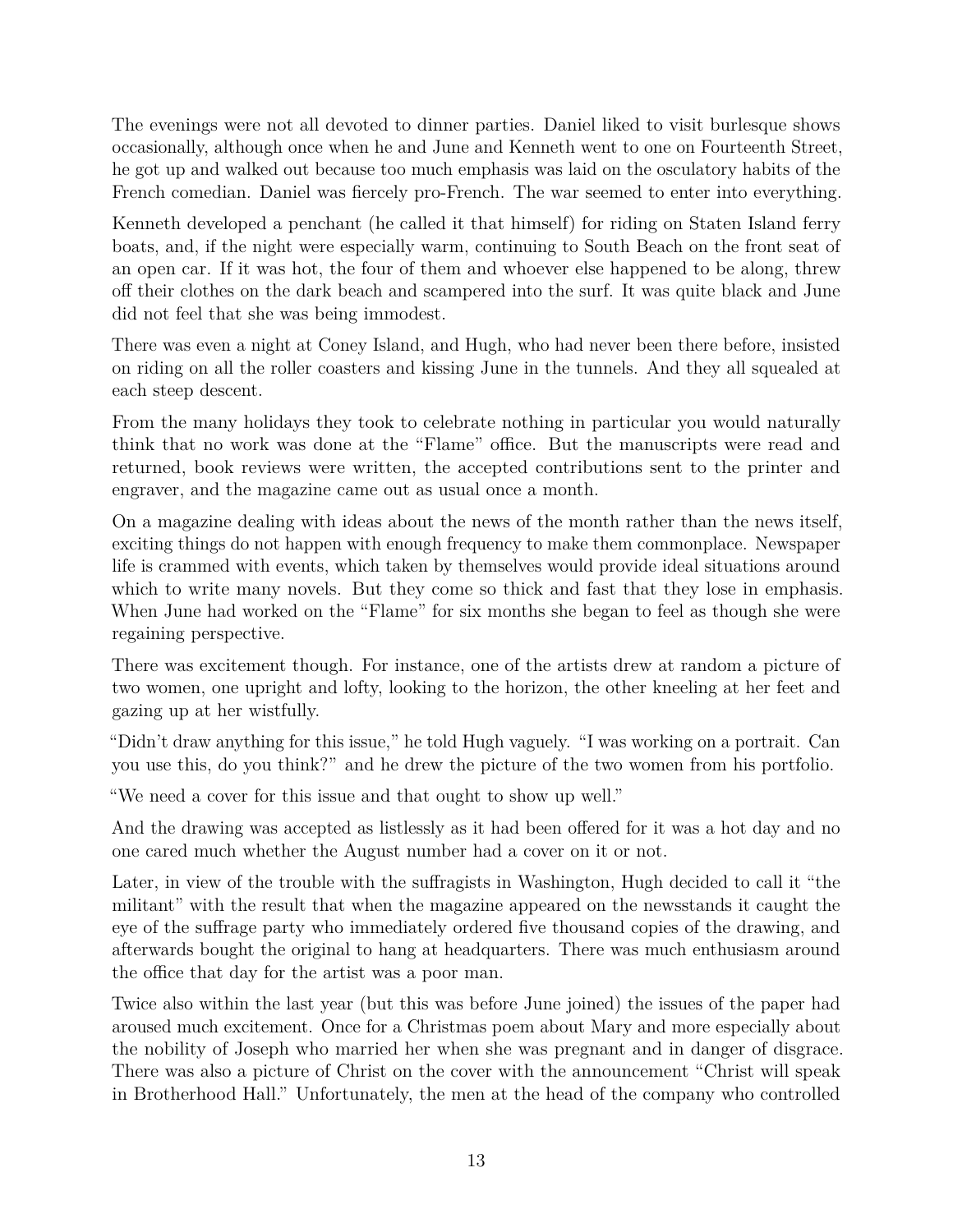The evenings were not all devoted to dinner parties. Daniel liked to visit burlesque shows occasionally, although once when he and June and Kenneth went to one on Fourteenth Street, he got up and walked out because too much emphasis was laid on the osculatory habits of the French comedian. Daniel was fiercely pro-French. The war seemed to enter into everything.

Kenneth developed a penchant (he called it that himself) for riding on Staten Island ferry boats, and, if the night were especially warm, continuing to South Beach on the front seat of an open car. If it was hot, the four of them and whoever else happened to be along, threw off their clothes on the dark beach and scampered into the surf. It was quite black and June did not feel that she was being immodest.

There was even a night at Coney Island, and Hugh, who had never been there before, insisted on riding on all the roller coasters and kissing June in the tunnels. And they all squealed at each steep descent.

From the many holidays they took to celebrate nothing in particular you would naturally think that no work was done at the "Flame" office. But the manuscripts were read and returned, book reviews were written, the accepted contributions sent to the printer and engraver, and the magazine came out as usual once a month.

On a magazine dealing with ideas about the news of the month rather than the news itself, exciting things do not happen with enough frequency to make them commonplace. Newspaper life is crammed with events, which taken by themselves would provide ideal situations around which to write many novels. But they come so thick and fast that they lose in emphasis. When June had worked on the "Flame" for six months she began to feel as though she were regaining perspective.

There was excitement though. For instance, one of the artists drew at random a picture of two women, one upright and lofty, looking to the horizon, the other kneeling at her feet and gazing up at her wistfully.

"Didn't draw anything for this issue," he told Hugh vaguely. "I was working on a portrait. Can you use this, do you think?" and he drew the picture of the two women from his portfolio.

"We need a cover for this issue and that ought to show up well."

And the drawing was accepted as listlessly as it had been offered for it was a hot day and no one cared much whether the August number had a cover on it or not.

Later, in view of the trouble with the suffragists in Washington, Hugh decided to call it "the militant" with the result that when the magazine appeared on the newsstands it caught the eye of the suffrage party who immediately ordered five thousand copies of the drawing, and afterwards bought the original to hang at headquarters. There was much enthusiasm around the office that day for the artist was a poor man.

Twice also within the last year (but this was before June joined) the issues of the paper had aroused much excitement. Once for a Christmas poem about Mary and more especially about the nobility of Joseph who married her when she was pregnant and in danger of disgrace. There was also a picture of Christ on the cover with the announcement "Christ will speak in Brotherhood Hall." Unfortunately, the men at the head of the company who controlled